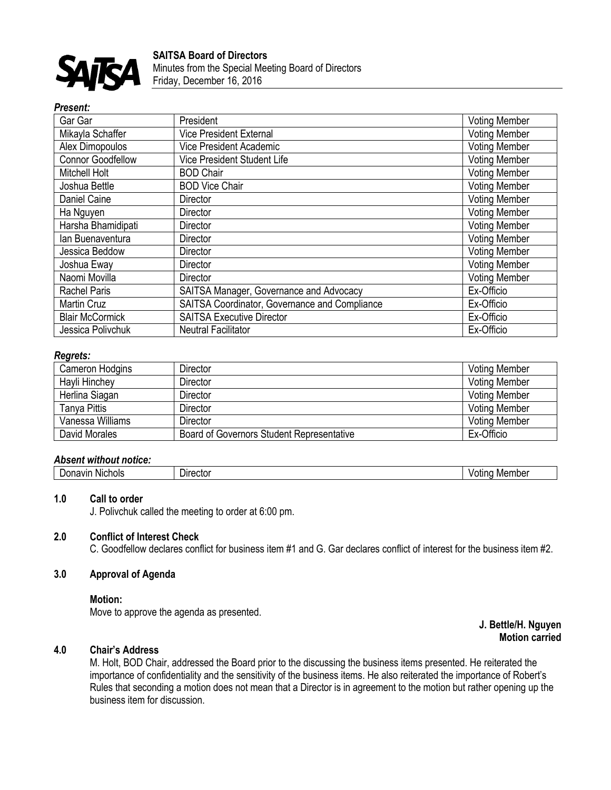

## *Present:*

| Gar Gar                  | President                                     | <b>Voting Member</b> |
|--------------------------|-----------------------------------------------|----------------------|
| Mikayla Schaffer         | <b>Vice President External</b>                | <b>Voting Member</b> |
| Alex Dimopoulos          | <b>Vice President Academic</b>                | <b>Voting Member</b> |
| <b>Connor Goodfellow</b> | <b>Vice President Student Life</b>            | <b>Voting Member</b> |
| Mitchell Holt            | <b>BOD Chair</b>                              | <b>Voting Member</b> |
| Joshua Bettle            | <b>BOD Vice Chair</b>                         | <b>Voting Member</b> |
| Daniel Caine             | Director                                      | <b>Voting Member</b> |
| Ha Nguyen                | Director                                      | <b>Voting Member</b> |
| Harsha Bhamidipati       | Director                                      | <b>Voting Member</b> |
| lan Buenaventura         | Director                                      | <b>Voting Member</b> |
| Jessica Beddow           | <b>Director</b>                               | <b>Voting Member</b> |
| Joshua Eway              | Director                                      | <b>Voting Member</b> |
| Naomi Movilla            | <b>Director</b>                               | <b>Voting Member</b> |
| <b>Rachel Paris</b>      | SAITSA Manager, Governance and Advocacy       | Ex-Officio           |
| Martin Cruz              | SAITSA Coordinator, Governance and Compliance | Ex-Officio           |
| <b>Blair McCormick</b>   | <b>SAITSA Executive Director</b>              | Ex-Officio           |
| Jessica Polivchuk        | <b>Neutral Facilitator</b>                    | Ex-Officio           |

### *Regrets:*

| Cameron Hodgins  | <b>Director</b>                           | <b>Voting Member</b> |
|------------------|-------------------------------------------|----------------------|
| Hayli Hinchey    | <b>Director</b>                           | <b>Voting Member</b> |
| Herlina Siagan   | Director                                  | <b>Voting Member</b> |
| Tanya Pittis     | <b>Director</b>                           | <b>Voting Member</b> |
| Vanessa Williams | <b>Director</b>                           | <b>Voting Member</b> |
| David Morales    | Board of Governors Student Representative | Ex-Officio           |

#### *Absent without notice:*

| <br><b>Nichols</b><br>∍ Jon⊂<br>avır<br>١o | - - - -<br>'اال<br>ector | Member<br>wind |
|--------------------------------------------|--------------------------|----------------|
|--------------------------------------------|--------------------------|----------------|

#### **1.0 Call to order**

J. Polivchuk called the meeting to order at 6:00 pm.

# **2.0 Conflict of Interest Check**

C. Goodfellow declares conflict for business item #1 and G. Gar declares conflict of interest for the business item #2.

### **3.0 Approval of Agenda**

#### **Motion:**

Move to approve the agenda as presented.

#### **J. Bettle/H. Nguyen Motion carried**

# **4.0 Chair's Address**

M. Holt, BOD Chair, addressed the Board prior to the discussing the business items presented. He reiterated the importance of confidentiality and the sensitivity of the business items. He also reiterated the importance of Robert's Rules that seconding a motion does not mean that a Director is in agreement to the motion but rather opening up the business item for discussion.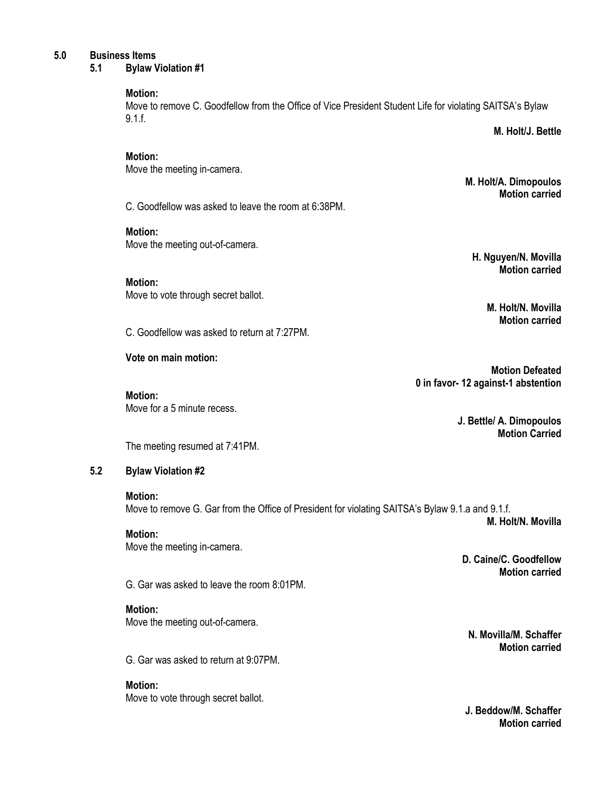## **5.0 Business Items**

**5.1 Bylaw Violation #1**

## **Motion:**

Move to remove C. Goodfellow from the Office of Vice President Student Life for violating SAITSA's Bylaw 9.1.f.

**M. Holt/J. Bettle**

## **Motion:**

Move the meeting in-camera.

C. Goodfellow was asked to leave the room at 6:38PM.

# **Motion:**

Move the meeting out-of-camera.

# **Motion:**

Move to vote through secret ballot.

C. Goodfellow was asked to return at 7:27PM.

# **Vote on main motion:**

**Motion:** Move for a 5 minute recess. **M. Holt/A. Dimopoulos Motion carried**

**H. Nguyen/N. Movilla Motion carried**

> **M. Holt/N. Movilla Motion carried**

**Motion Defeated 0 in favor- 12 against-1 abstention**

> **J. Bettle/ A. Dimopoulos Motion Carried**

The meeting resumed at 7:41PM.

# **5.2 Bylaw Violation #2**

## **Motion:**

Move to remove G. Gar from the Office of President for violating SAITSA's Bylaw 9.1.a and 9.1.f. **M. Holt/N. Movilla**

**Motion:** Move the meeting in-camera.

> **D. Caine/C. Goodfellow Motion carried**

G. Gar was asked to leave the room 8:01PM.

# **Motion:**

Move the meeting out-of-camera.

G. Gar was asked to return at 9:07PM.

**Motion:** 

Move to vote through secret ballot.

**N. Movilla/M. Schaffer Motion carried**

**J. Beddow/M. Schaffer Motion carried**